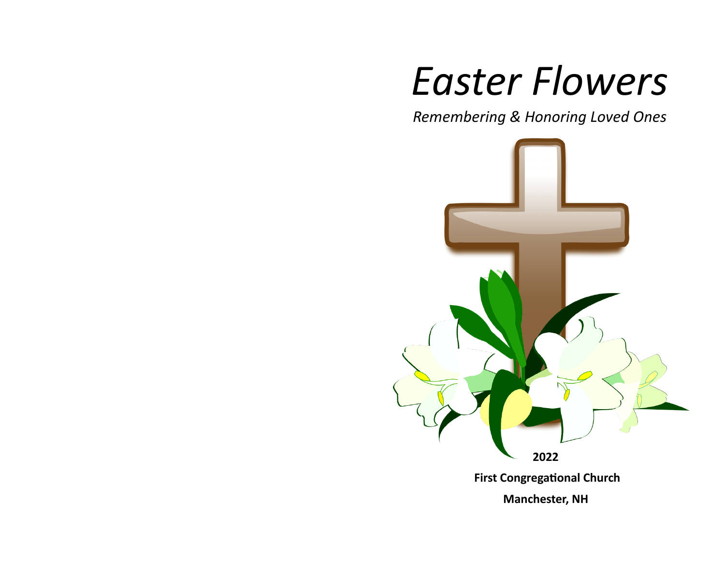# *Easter Flowers*

*Remembering & Honoring Loved Ones*